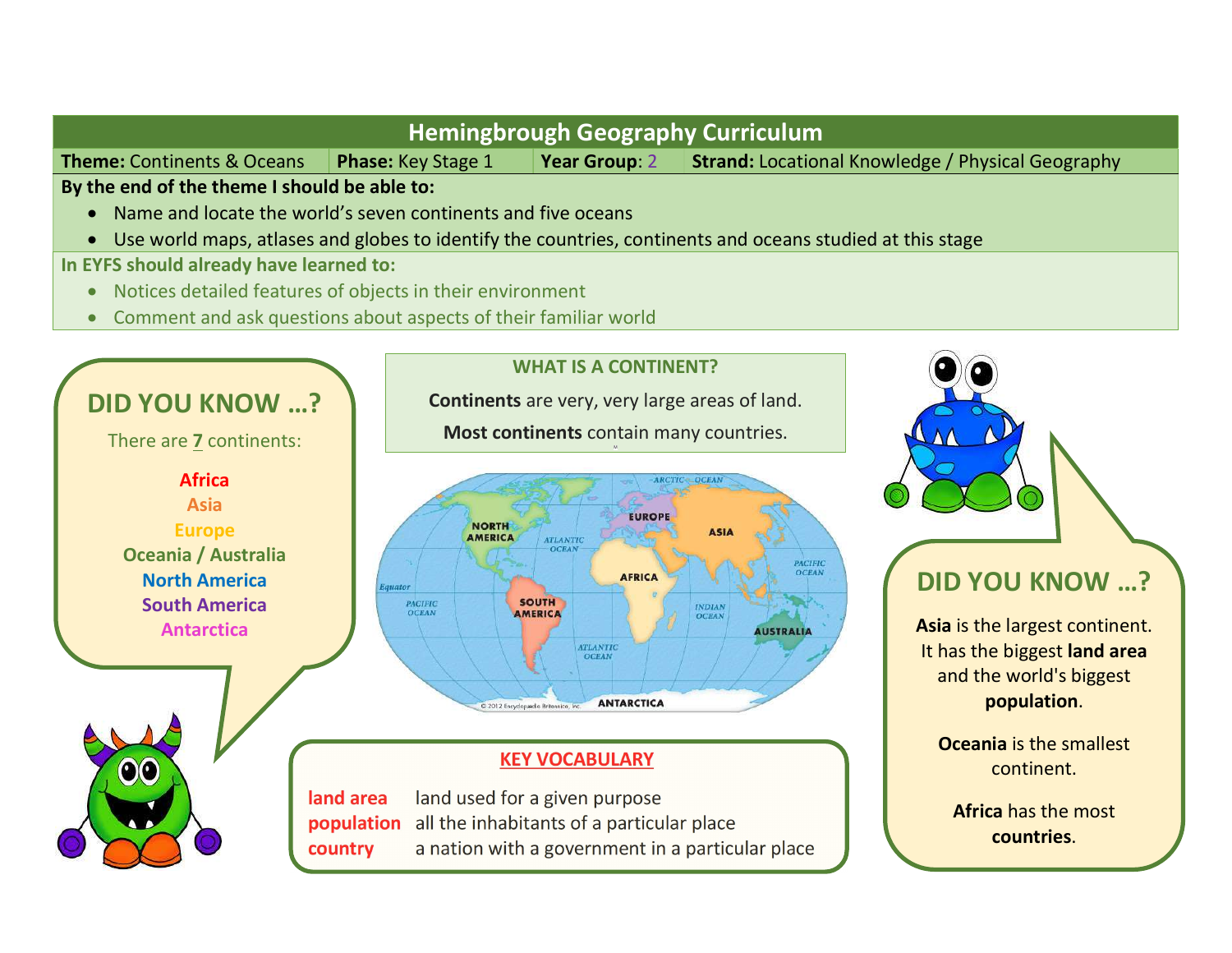